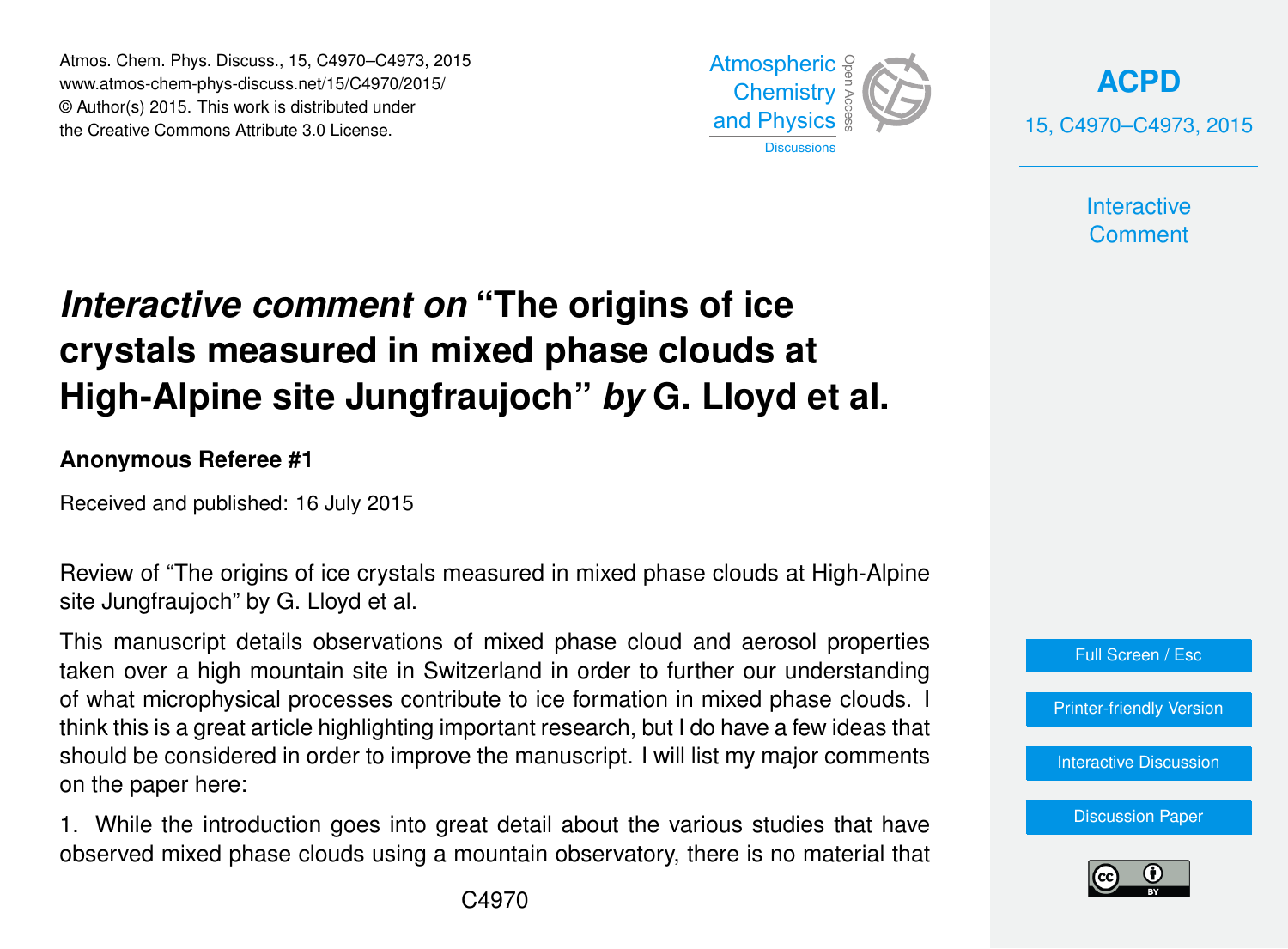Atmos. Chem. Phys. Discuss., 15, C4970–C4973, 2015 www.atmos-chem-phys-discuss.net/15/C4970/2015/ © Author(s) 2015. This work is distributed under the Creative Commons Attribute 3.0 License.



**[ACPD](http://www.atmos-chem-phys-discuss.net)** 15, C4970–C4973, 2015

> **Interactive Comment**

## *Interactive comment on* **"The origins of ice crystals measured in mixed phase clouds at High-Alpine site Jungfraujoch"** *by* **G. Lloyd et al.**

## **Anonymous Referee #1**

Received and published: 16 July 2015

Review of "The origins of ice crystals measured in mixed phase clouds at High-Alpine site Jungfraujoch" by G. Lloyd et al.

This manuscript details observations of mixed phase cloud and aerosol properties taken over a high mountain site in Switzerland in order to further our understanding of what microphysical processes contribute to ice formation in mixed phase clouds. I think this is a great article highlighting important research, but I do have a few ideas that should be considered in order to improve the manuscript. I will list my major comments on the paper here:

1. While the introduction goes into great detail about the various studies that have observed mixed phase clouds using a mountain observatory, there is no material that



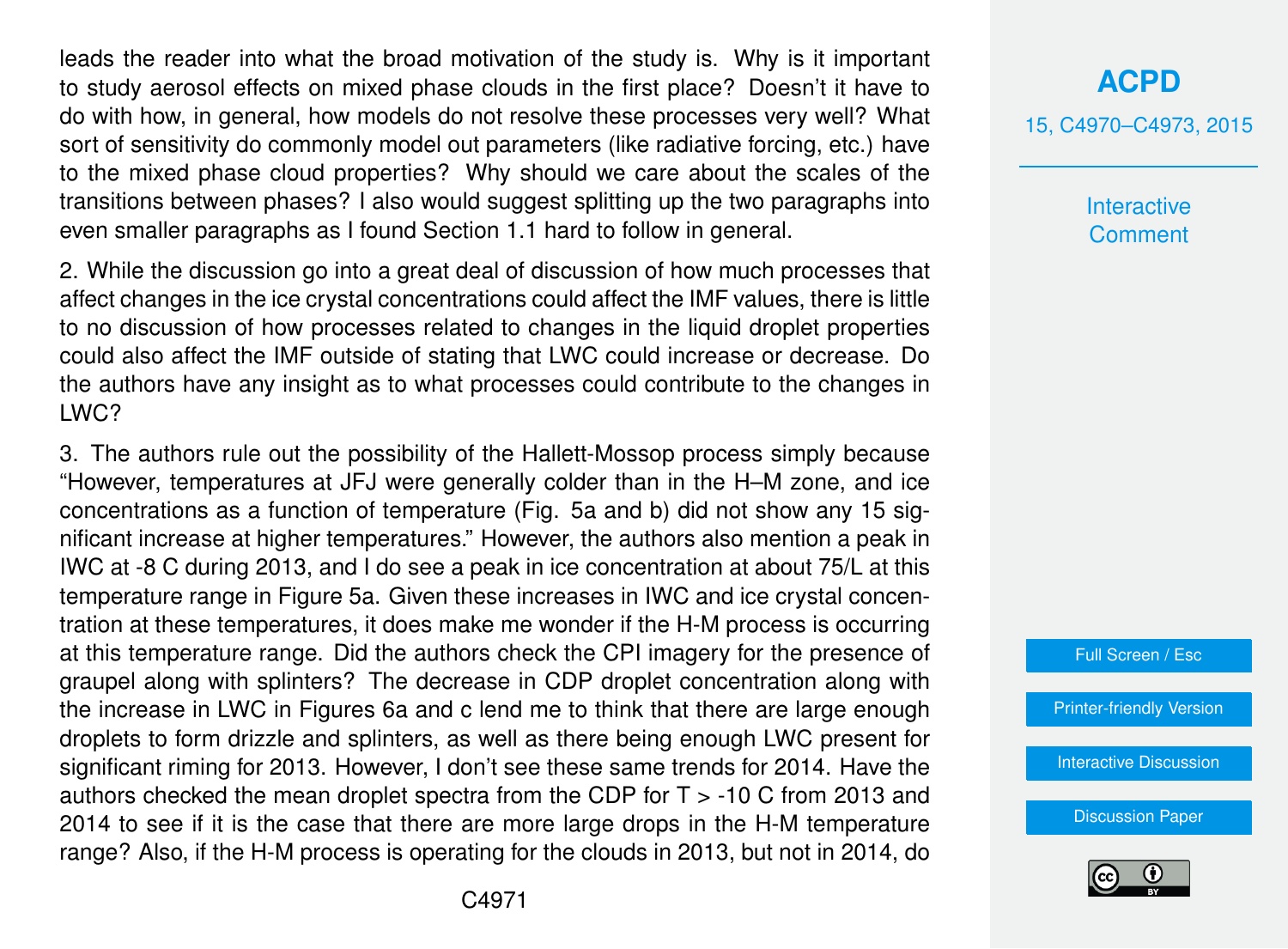leads the reader into what the broad motivation of the study is. Why is it important to study aerosol effects on mixed phase clouds in the first place? Doesn't it have to do with how, in general, how models do not resolve these processes very well? What sort of sensitivity do commonly model out parameters (like radiative forcing, etc.) have to the mixed phase cloud properties? Why should we care about the scales of the transitions between phases? I also would suggest splitting up the two paragraphs into even smaller paragraphs as I found Section 1.1 hard to follow in general.

2. While the discussion go into a great deal of discussion of how much processes that affect changes in the ice crystal concentrations could affect the IMF values, there is little to no discussion of how processes related to changes in the liquid droplet properties could also affect the IMF outside of stating that LWC could increase or decrease. Do the authors have any insight as to what processes could contribute to the changes in LWC?

3. The authors rule out the possibility of the Hallett-Mossop process simply because "However, temperatures at JFJ were generally colder than in the H–M zone, and ice concentrations as a function of temperature (Fig. 5a and b) did not show any 15 significant increase at higher temperatures." However, the authors also mention a peak in IWC at -8 C during 2013, and I do see a peak in ice concentration at about 75/L at this temperature range in Figure 5a. Given these increases in IWC and ice crystal concentration at these temperatures, it does make me wonder if the H-M process is occurring at this temperature range. Did the authors check the CPI imagery for the presence of graupel along with splinters? The decrease in CDP droplet concentration along with the increase in LWC in Figures 6a and c lend me to think that there are large enough droplets to form drizzle and splinters, as well as there being enough LWC present for significant riming for 2013. However, I don't see these same trends for 2014. Have the authors checked the mean droplet spectra from the CDP for T > -10 C from 2013 and 2014 to see if it is the case that there are more large drops in the H-M temperature range? Also, if the H-M process is operating for the clouds in 2013, but not in 2014, do

## **[ACPD](http://www.atmos-chem-phys-discuss.net)**

15, C4970–C4973, 2015

**Interactive Comment** 

Full Screen / Esc

[Printer-friendly Version](http://www.atmos-chem-phys-discuss.net/15/C4970/2015/acpd-15-C4970-2015-print.pdf)

[Interactive Discussion](http://www.atmos-chem-phys-discuss.net/15/18181/2015/acpd-15-18181-2015-discussion.html)

[Discussion Paper](http://www.atmos-chem-phys-discuss.net/15/18181/2015/acpd-15-18181-2015.pdf)

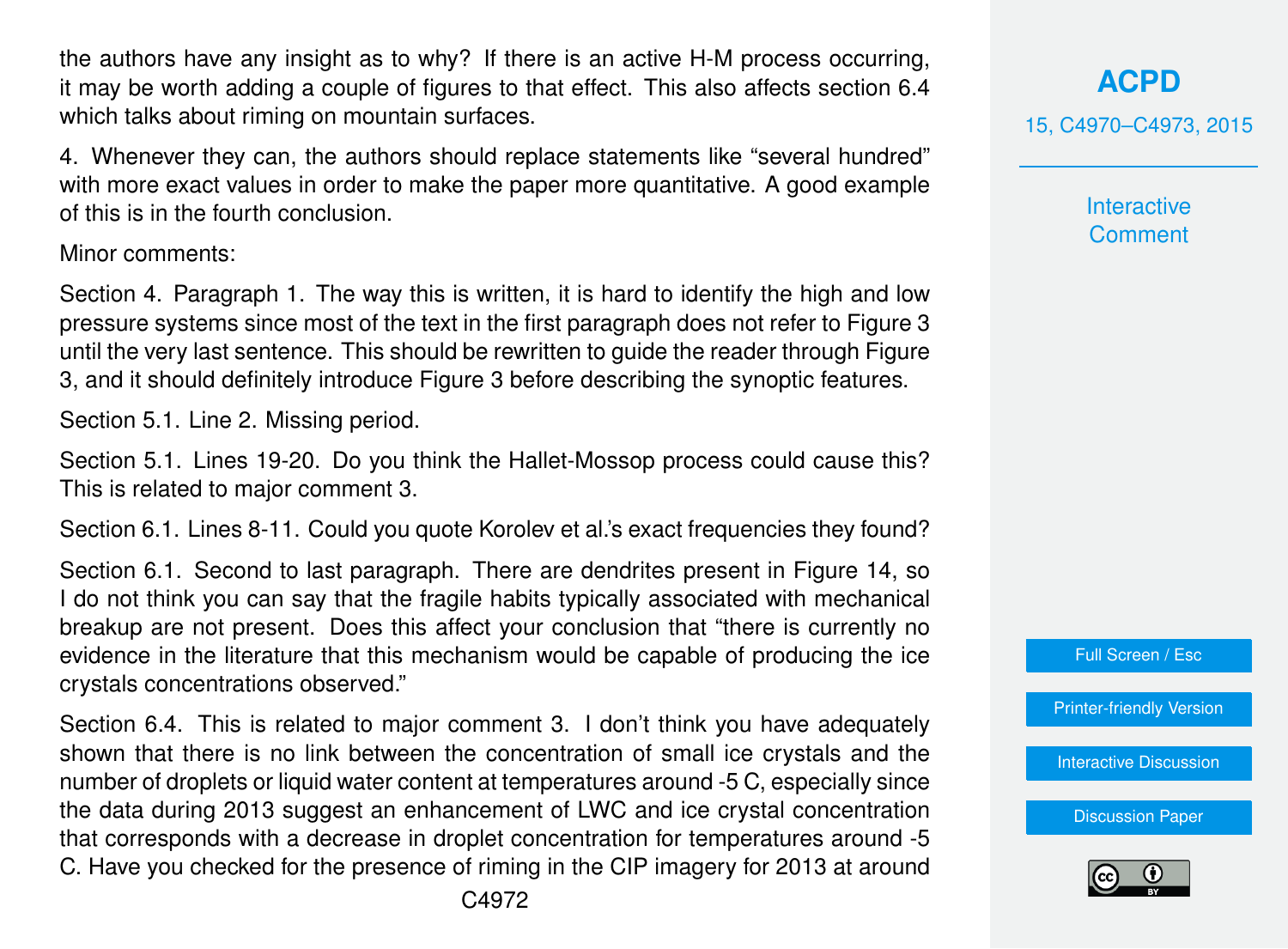the authors have any insight as to why? If there is an active H-M process occurring, it may be worth adding a couple of figures to that effect. This also affects section 6.4 which talks about riming on mountain surfaces.

4. Whenever they can, the authors should replace statements like "several hundred" with more exact values in order to make the paper more quantitative. A good example of this is in the fourth conclusion.

Minor comments:

Section 4. Paragraph 1. The way this is written, it is hard to identify the high and low pressure systems since most of the text in the first paragraph does not refer to Figure 3 until the very last sentence. This should be rewritten to guide the reader through Figure 3, and it should definitely introduce Figure 3 before describing the synoptic features.

Section 5.1. Line 2. Missing period.

Section 5.1. Lines 19-20. Do you think the Hallet-Mossop process could cause this? This is related to major comment 3.

Section 6.1. Lines 8-11. Could you quote Korolev et al.'s exact frequencies they found?

Section 6.1. Second to last paragraph. There are dendrites present in Figure 14, so I do not think you can say that the fragile habits typically associated with mechanical breakup are not present. Does this affect your conclusion that "there is currently no evidence in the literature that this mechanism would be capable of producing the ice crystals concentrations observed."

Section 6.4. This is related to major comment 3. I don't think you have adequately shown that there is no link between the concentration of small ice crystals and the number of droplets or liquid water content at temperatures around -5 C, especially since the data during 2013 suggest an enhancement of LWC and ice crystal concentration that corresponds with a decrease in droplet concentration for temperatures around -5 C. Have you checked for the presence of riming in the CIP imagery for 2013 at around **Interactive Comment** 

Full Screen / Esc

[Printer-friendly Version](http://www.atmos-chem-phys-discuss.net/15/C4970/2015/acpd-15-C4970-2015-print.pdf)

[Interactive Discussion](http://www.atmos-chem-phys-discuss.net/15/18181/2015/acpd-15-18181-2015-discussion.html)

[Discussion Paper](http://www.atmos-chem-phys-discuss.net/15/18181/2015/acpd-15-18181-2015.pdf)